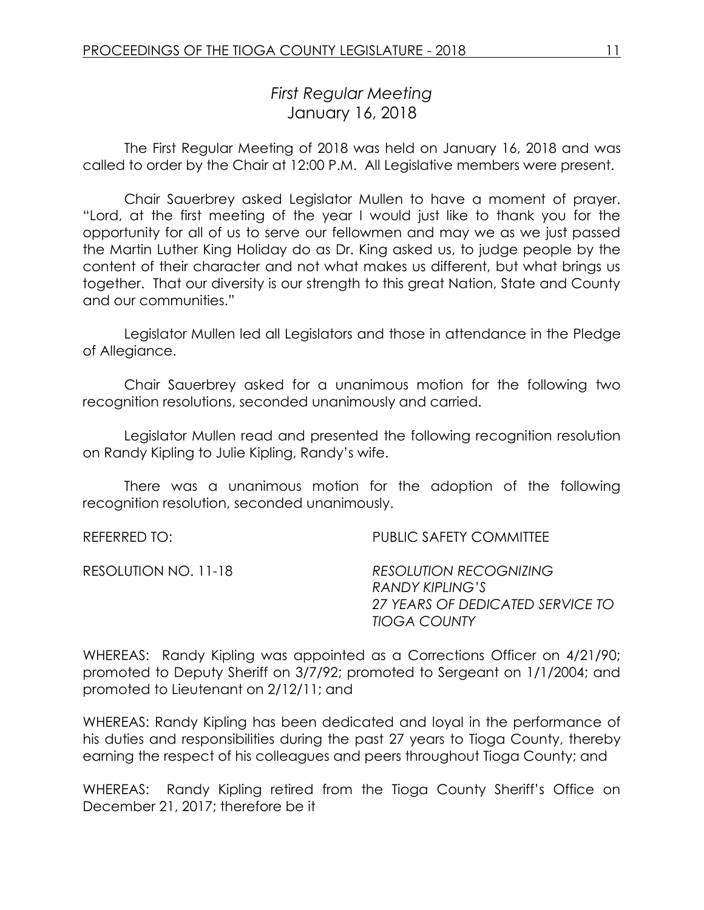## *First Regular Meeting* January 16, 2018

The First Regular Meeting of 2018 was held on January 16, 2018 and was called to order by the Chair at 12:00 P.M. All Legislative members were present.

Chair Sauerbrey asked Legislator Mullen to have a moment of prayer. "Lord, at the first meeting of the year I would just like to thank you for the opportunity for all of us to serve our fellowmen and may we as we just passed the Martin Luther King Holiday do as Dr. King asked us, to judge people by the content of their character and not what makes us different, but what brings us together. That our diversity is our strength to this great Nation, State and County and our communities."

Legislator Mullen led all Legislators and those in attendance in the Pledge of Allegiance.

Chair Sauerbrey asked for a unanimous motion for the following two recognition resolutions, seconded unanimously and carried.

Legislator Mullen read and presented the following recognition resolution on Randy Kipling to Julie Kipling, Randy's wife.

There was a unanimous motion for the adoption of the following recognition resolution, seconded unanimously.

REFERRED TO: THE PUBLIC SAFETY COMMITTEE

RESOLUTION NO. 11-18 *RESOLUTION RECOGNIZING RANDY KIPLING'S 27 YEARS OF DEDICATED SERVICE TO TIOGA COUNTY*

WHEREAS: Randy Kipling was appointed as a Corrections Officer on 4/21/90; promoted to Deputy Sheriff on 3/7/92; promoted to Sergeant on 1/1/2004; and promoted to Lieutenant on 2/12/11; and

WHEREAS: Randy Kipling has been dedicated and loyal in the performance of his duties and responsibilities during the past 27 years to Tioga County, thereby earning the respect of his colleagues and peers throughout Tioga County; and

WHEREAS: Randy Kipling retired from the Tioga County Sheriff's Office on December 21, 2017; therefore be it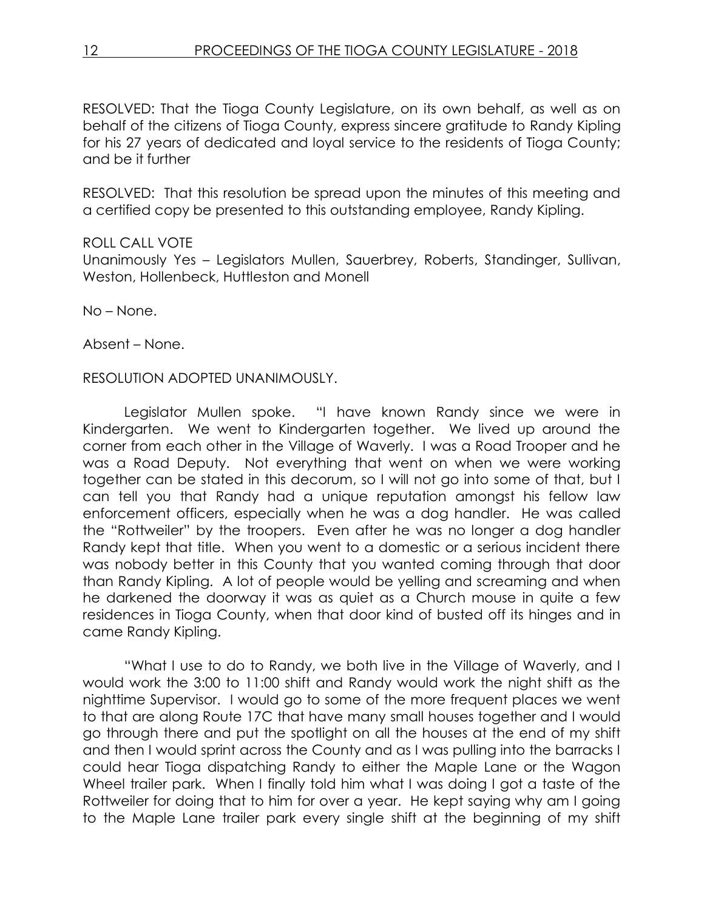RESOLVED: That the Tioga County Legislature, on its own behalf, as well as on behalf of the citizens of Tioga County, express sincere gratitude to Randy Kipling for his 27 years of dedicated and loyal service to the residents of Tioga County; and be it further

RESOLVED: That this resolution be spread upon the minutes of this meeting and a certified copy be presented to this outstanding employee, Randy Kipling.

#### ROLL CALL VOTE

Unanimously Yes – Legislators Mullen, Sauerbrey, Roberts, Standinger, Sullivan, Weston, Hollenbeck, Huttleston and Monell

No – None.

Absent – None.

#### RESOLUTION ADOPTED UNANIMOUSLY.

Legislator Mullen spoke. "I have known Randy since we were in Kindergarten. We went to Kindergarten together. We lived up around the corner from each other in the Village of Waverly. I was a Road Trooper and he was a Road Deputy. Not everything that went on when we were working together can be stated in this decorum, so I will not go into some of that, but I can tell you that Randy had a unique reputation amongst his fellow law enforcement officers, especially when he was a dog handler. He was called the "Rottweiler" by the troopers. Even after he was no longer a dog handler Randy kept that title. When you went to a domestic or a serious incident there was nobody better in this County that you wanted coming through that door than Randy Kipling. A lot of people would be yelling and screaming and when he darkened the doorway it was as quiet as a Church mouse in quite a few residences in Tioga County, when that door kind of busted off its hinges and in came Randy Kipling.

"What I use to do to Randy, we both live in the Village of Waverly, and I would work the 3:00 to 11:00 shift and Randy would work the night shift as the nighttime Supervisor. I would go to some of the more frequent places we went to that are along Route 17C that have many small houses together and I would go through there and put the spotlight on all the houses at the end of my shift and then I would sprint across the County and as I was pulling into the barracks I could hear Tioga dispatching Randy to either the Maple Lane or the Wagon Wheel trailer park. When I finally told him what I was doing I got a taste of the Rottweiler for doing that to him for over a year. He kept saying why am I going to the Maple Lane trailer park every single shift at the beginning of my shift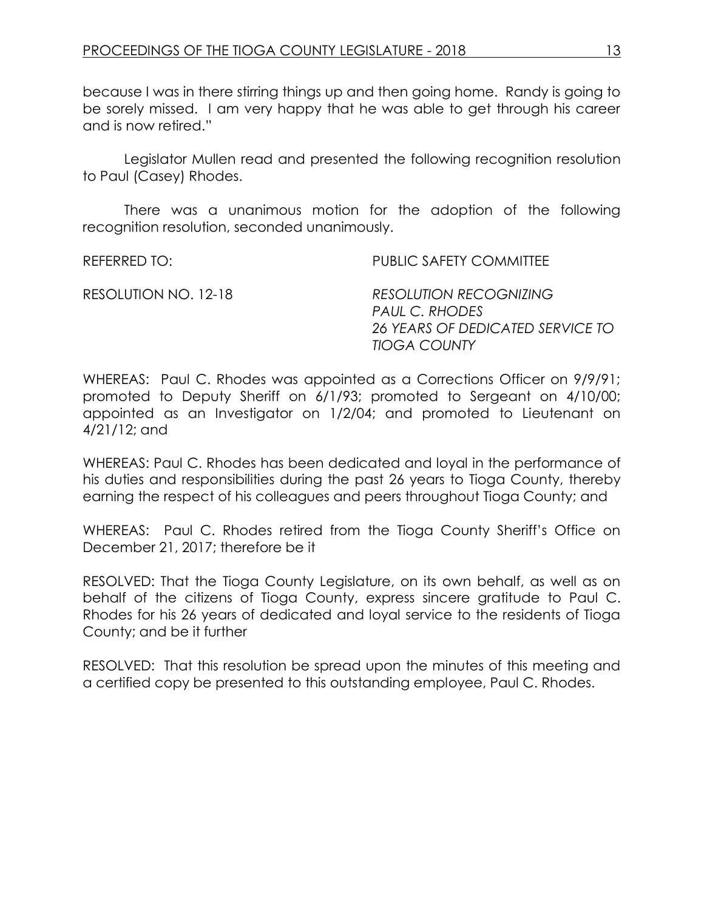because I was in there stirring things up and then going home. Randy is going to be sorely missed. I am very happy that he was able to get through his career and is now retired."

Legislator Mullen read and presented the following recognition resolution to Paul (Casey) Rhodes.

There was a unanimous motion for the adoption of the following recognition resolution, seconded unanimously.

REFERRED TO: THE PUBLIC SAFETY COMMITTEE

RESOLUTION NO. 12-18 *RESOLUTION RECOGNIZING PAUL C. RHODES 26 YEARS OF DEDICATED SERVICE TO TIOGA COUNTY*

WHEREAS: Paul C. Rhodes was appointed as a Corrections Officer on  $9/9/91$ ; promoted to Deputy Sheriff on 6/1/93; promoted to Sergeant on 4/10/00; appointed as an Investigator on 1/2/04; and promoted to Lieutenant on 4/21/12; and

WHEREAS: Paul C. Rhodes has been dedicated and loyal in the performance of his duties and responsibilities during the past 26 years to Tioga County, thereby earning the respect of his colleagues and peers throughout Tioga County; and

WHEREAS: Paul C. Rhodes retired from the Tioga County Sheriff's Office on December 21, 2017; therefore be it

RESOLVED: That the Tioga County Legislature, on its own behalf, as well as on behalf of the citizens of Tioga County, express sincere gratitude to Paul C. Rhodes for his 26 years of dedicated and loyal service to the residents of Tioga County; and be it further

RESOLVED: That this resolution be spread upon the minutes of this meeting and a certified copy be presented to this outstanding employee, Paul C. Rhodes.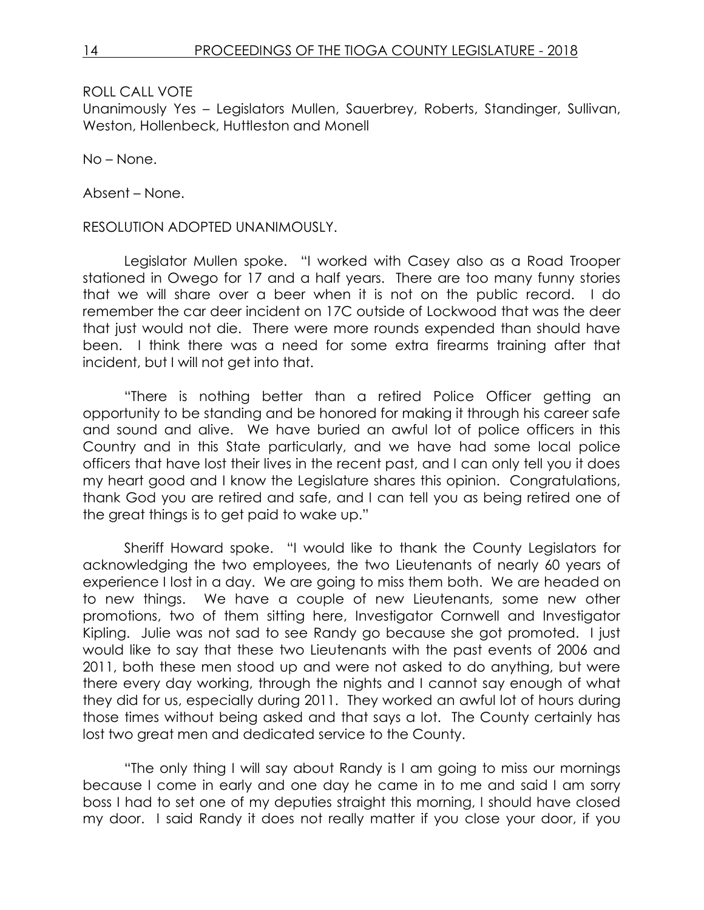#### ROLL CALL VOTE

Unanimously Yes – Legislators Mullen, Sauerbrey, Roberts, Standinger, Sullivan, Weston, Hollenbeck, Huttleston and Monell

No – None.

Absent – None.

RESOLUTION ADOPTED UNANIMOUSLY.

Legislator Mullen spoke. "I worked with Casey also as a Road Trooper stationed in Owego for 17 and a half years. There are too many funny stories that we will share over a beer when it is not on the public record. I do remember the car deer incident on 17C outside of Lockwood that was the deer that just would not die. There were more rounds expended than should have been. I think there was a need for some extra firearms training after that incident, but I will not get into that.

"There is nothing better than a retired Police Officer getting an opportunity to be standing and be honored for making it through his career safe and sound and alive. We have buried an awful lot of police officers in this Country and in this State particularly, and we have had some local police officers that have lost their lives in the recent past, and I can only tell you it does my heart good and I know the Legislature shares this opinion. Congratulations, thank God you are retired and safe, and I can tell you as being retired one of the great things is to get paid to wake up."

Sheriff Howard spoke. "I would like to thank the County Legislators for acknowledging the two employees, the two Lieutenants of nearly 60 years of experience I lost in a day. We are going to miss them both. We are headed on to new things. We have a couple of new Lieutenants, some new other promotions, two of them sitting here, Investigator Cornwell and Investigator Kipling. Julie was not sad to see Randy go because she got promoted. I just would like to say that these two Lieutenants with the past events of 2006 and 2011, both these men stood up and were not asked to do anything, but were there every day working, through the nights and I cannot say enough of what they did for us, especially during 2011. They worked an awful lot of hours during those times without being asked and that says a lot. The County certainly has lost two great men and dedicated service to the County.

"The only thing I will say about Randy is I am going to miss our mornings because I come in early and one day he came in to me and said I am sorry boss I had to set one of my deputies straight this morning, I should have closed my door. I said Randy it does not really matter if you close your door, if you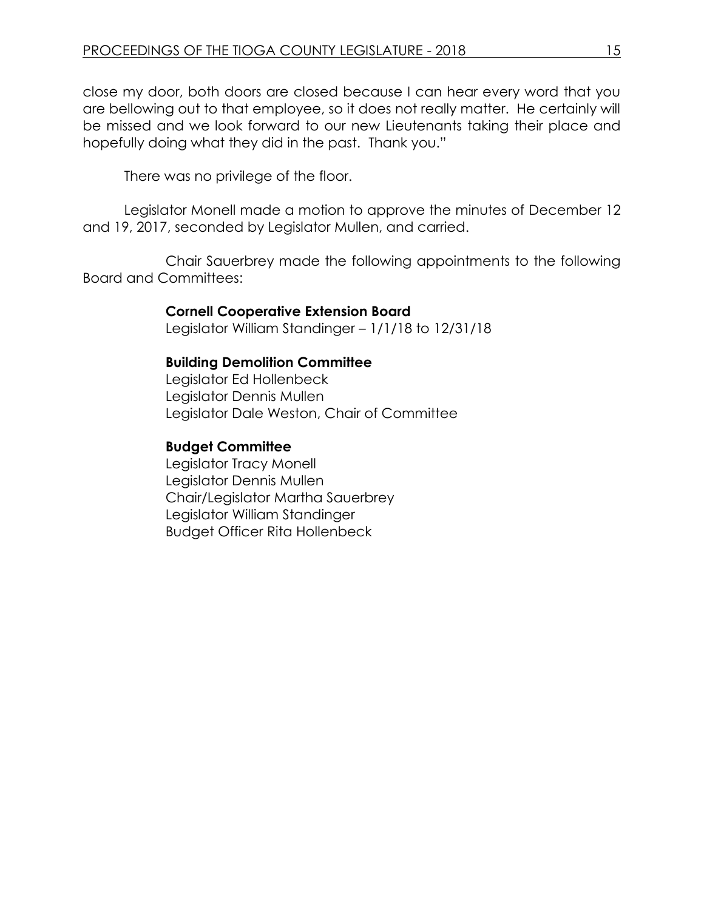close my door, both doors are closed because I can hear every word that you are bellowing out to that employee, so it does not really matter. He certainly will be missed and we look forward to our new Lieutenants taking their place and hopefully doing what they did in the past. Thank you."

There was no privilege of the floor.

Legislator Monell made a motion to approve the minutes of December 12 and 19, 2017, seconded by Legislator Mullen, and carried.

Chair Sauerbrey made the following appointments to the following Board and Committees:

## **Cornell Cooperative Extension Board**

Legislator William Standinger – 1/1/18 to 12/31/18

## **Building Demolition Committee**

Legislator Ed Hollenbeck Legislator Dennis Mullen Legislator Dale Weston, Chair of Committee

## **Budget Committee**

Legislator Tracy Monell Legislator Dennis Mullen Chair/Legislator Martha Sauerbrey Legislator William Standinger Budget Officer Rita Hollenbeck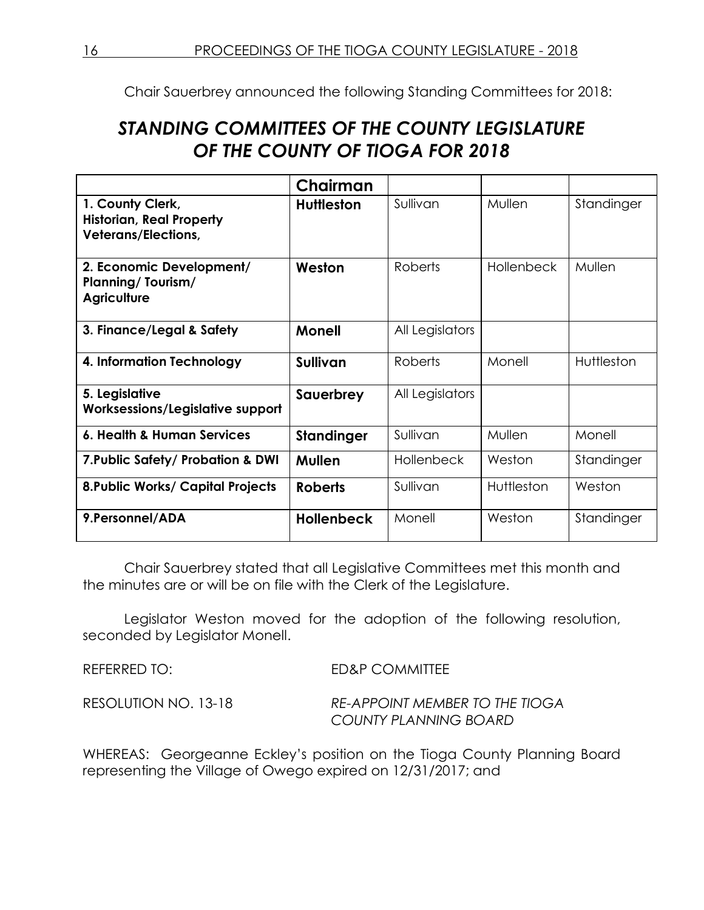Chair Sauerbrey announced the following Standing Committees for 2018:

# *STANDING COMMITTEES OF THE COUNTY LEGISLATURE OF THE COUNTY OF TIOGA FOR 2018*

|                                                                                   | Chairman          |                   |                   |            |
|-----------------------------------------------------------------------------------|-------------------|-------------------|-------------------|------------|
| 1. County Clerk,<br><b>Historian, Real Property</b><br><b>Veterans/Elections,</b> | <b>Huttleston</b> | Sullivan          | Mullen            | Standinger |
| 2. Economic Development/<br><b>Planning/Tourism/</b><br><b>Agriculture</b>        | Weston            | Roberts           | <b>Hollenbeck</b> | Mullen     |
| 3. Finance/Legal & Safety                                                         | <b>Monell</b>     | All Legislators   |                   |            |
| 4. Information Technology                                                         | Sullivan          | <b>Roberts</b>    | Monell            | Huttleston |
| 5. Legislative<br>Worksessions/Legislative support                                | Sauerbrey         | All Legislators   |                   |            |
| 6. Health & Human Services                                                        | <b>Standinger</b> | Sullivan          | Mullen            | Monell     |
| 7. Public Safety/ Probation & DWI                                                 | Mullen            | <b>Hollenbeck</b> | Weston            | Standinger |
| <b>8. Public Works/ Capital Projects</b>                                          | <b>Roberts</b>    | Sullivan          | Huttleston        | Weston     |
| 9. Personnel/ADA                                                                  | <b>Hollenbeck</b> | Monell            | Weston            | Standinger |

Chair Sauerbrey stated that all Legislative Committees met this month and the minutes are or will be on file with the Clerk of the Legislature.

Legislator Weston moved for the adoption of the following resolution, seconded by Legislator Monell.

REFERRED TO: ED&P COMMITTEE RESOLUTION NO. 13-18 *RE-APPOINT MEMBER TO THE TIOGA COUNTY PLANNING BOARD*

WHEREAS: Georgeanne Eckley's position on the Tioga County Planning Board representing the Village of Owego expired on 12/31/2017; and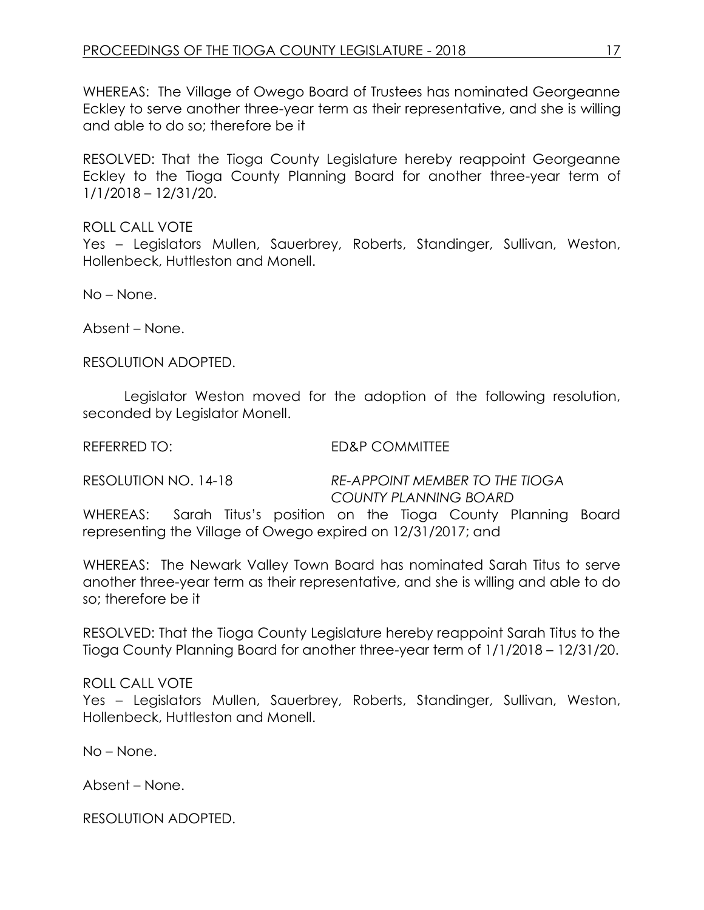WHEREAS: The Village of Owego Board of Trustees has nominated Georgeanne Eckley to serve another three-year term as their representative, and she is willing and able to do so; therefore be it

RESOLVED: That the Tioga County Legislature hereby reappoint Georgeanne Eckley to the Tioga County Planning Board for another three-year term of 1/1/2018 – 12/31/20.

ROLL CALL VOTE Yes – Legislators Mullen, Sauerbrey, Roberts, Standinger, Sullivan, Weston, Hollenbeck, Huttleston and Monell.

No – None.

Absent – None.

RESOLUTION ADOPTED.

Legislator Weston moved for the adoption of the following resolution, seconded by Legislator Monell.

REFERRED TO: ED&P COMMITTEE

RESOLUTION NO. 14-18 *RE-APPOINT MEMBER TO THE TIOGA COUNTY PLANNING BOARD*

WHEREAS: Sarah Titus's position on the Tioga County Planning Board representing the Village of Owego expired on 12/31/2017; and

WHEREAS: The Newark Valley Town Board has nominated Sarah Titus to serve another three-year term as their representative, and she is willing and able to do so; therefore be it

RESOLVED: That the Tioga County Legislature hereby reappoint Sarah Titus to the Tioga County Planning Board for another three-year term of 1/1/2018 – 12/31/20.

#### ROLL CALL VOTE

Yes – Legislators Mullen, Sauerbrey, Roberts, Standinger, Sullivan, Weston, Hollenbeck, Huttleston and Monell.

No – None.

Absent – None.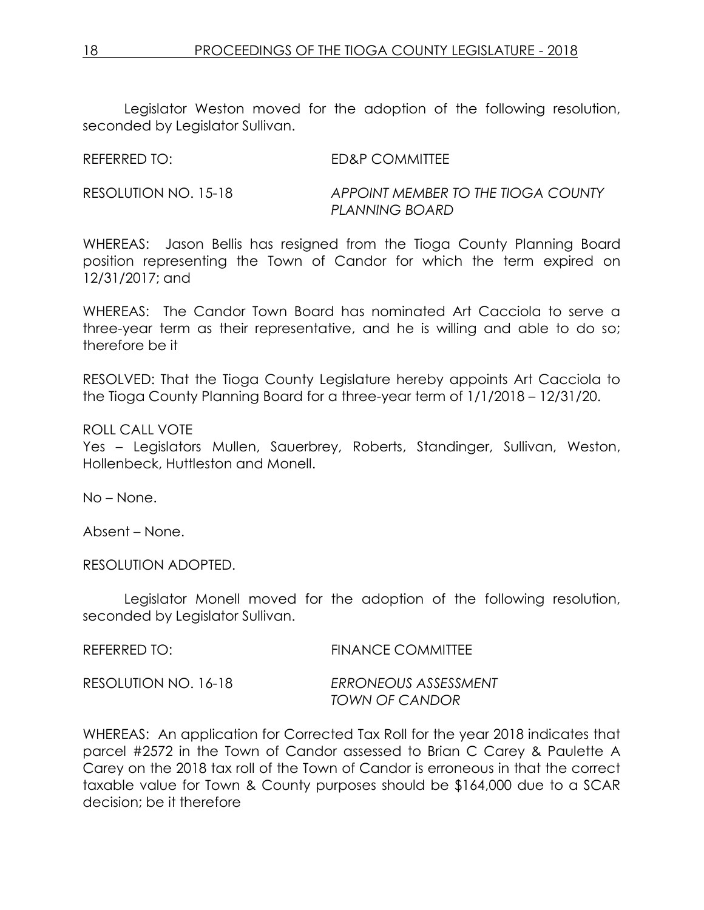Legislator Weston moved for the adoption of the following resolution, seconded by Legislator Sullivan.

REFERRED TO: ED&P COMMITTEE

RESOLUTION NO. 15-18 *APPOINT MEMBER TO THE TIOGA COUNTY PLANNING BOARD*

WHEREAS: Jason Bellis has resigned from the Tioga County Planning Board position representing the Town of Candor for which the term expired on 12/31/2017; and

WHEREAS: The Candor Town Board has nominated Art Cacciola to serve a three-year term as their representative, and he is willing and able to do so; therefore be it

RESOLVED: That the Tioga County Legislature hereby appoints Art Cacciola to the Tioga County Planning Board for a three-year term of 1/1/2018 – 12/31/20.

#### ROLL CALL VOTE

Yes – Legislators Mullen, Sauerbrey, Roberts, Standinger, Sullivan, Weston, Hollenbeck, Huttleston and Monell.

No – None.

Absent – None.

RESOLUTION ADOPTED.

Legislator Monell moved for the adoption of the following resolution, seconded by Legislator Sullivan.

| REFERRED TO:         | <b>FINANCE COMMITTEE</b>               |
|----------------------|----------------------------------------|
| RESOLUTION NO. 16-18 | ERRONEOUS ASSESSMENT<br>TOWN OF CANDOR |

WHEREAS: An application for Corrected Tax Roll for the year 2018 indicates that parcel #2572 in the Town of Candor assessed to Brian C Carey & Paulette A Carey on the 2018 tax roll of the Town of Candor is erroneous in that the correct taxable value for Town & County purposes should be \$164,000 due to a SCAR decision; be it therefore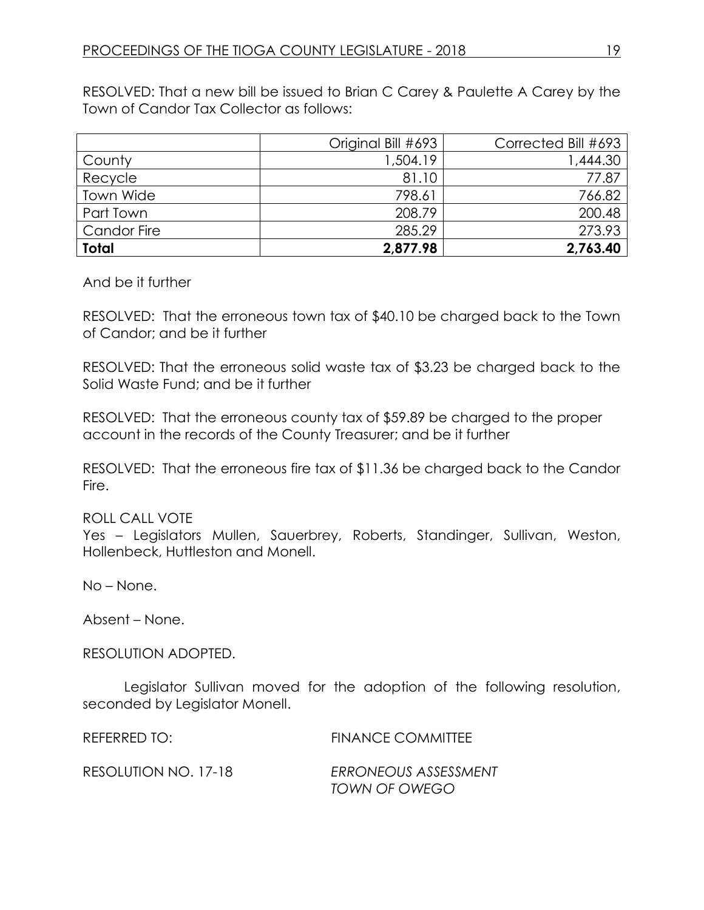RESOLVED: That a new bill be issued to Brian C Carey & Paulette A Carey by the Town of Candor Tax Collector as follows:

|                    | Original Bill #693 | Corrected Bill #693 |
|--------------------|--------------------|---------------------|
| County             | 1,504.19           | 1,444.30            |
| Recycle            | 81.10              | 77.87               |
| Town Wide          | 798.61             | 766.82              |
| Part Town          | 208.79             | 200.48              |
| <b>Candor Fire</b> | 285.29             | 273.93              |
| <b>Total</b>       | 2,877.98           | 2,763.40            |

And be it further

RESOLVED: That the erroneous town tax of \$40.10 be charged back to the Town of Candor; and be it further

RESOLVED: That the erroneous solid waste tax of \$3.23 be charged back to the Solid Waste Fund; and be it further

RESOLVED: That the erroneous county tax of \$59.89 be charged to the proper account in the records of the County Treasurer; and be it further

RESOLVED: That the erroneous fire tax of \$11.36 be charged back to the Candor Fire.

ROLL CALL VOTE

Yes – Legislators Mullen, Sauerbrey, Roberts, Standinger, Sullivan, Weston, Hollenbeck, Huttleston and Monell.

No – None.

Absent – None.

RESOLUTION ADOPTED.

Legislator Sullivan moved for the adoption of the following resolution, seconded by Legislator Monell.

REFERRED TO: FINANCE COMMITTEE

RESOLUTION NO. 17-18 *ERRONEOUS ASSESSMENT TOWN OF OWEGO*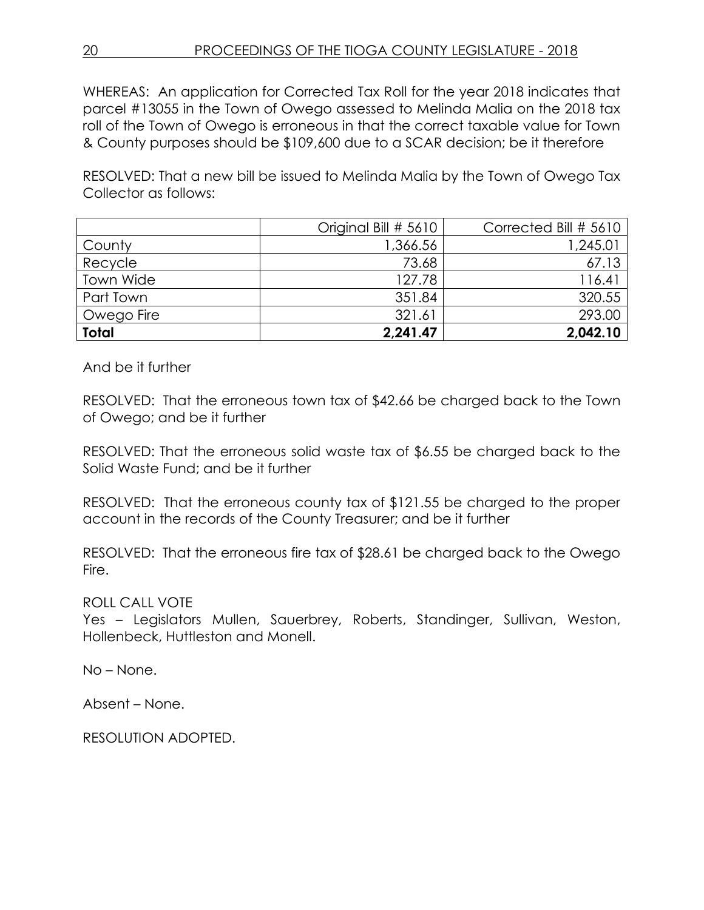WHEREAS: An application for Corrected Tax Roll for the year 2018 indicates that parcel #13055 in the Town of Owego assessed to Melinda Malia on the 2018 tax roll of the Town of Owego is erroneous in that the correct taxable value for Town & County purposes should be \$109,600 due to a SCAR decision; be it therefore

RESOLVED: That a new bill be issued to Melinda Malia by the Town of Owego Tax Collector as follows:

|              | Original Bill # 5610 | Corrected Bill # 5610 |
|--------------|----------------------|-----------------------|
| County       | 1,366.56             | 1,245.01              |
| Recycle      | 73.68                | 67.13                 |
| Town Wide    | 127.78               | 116.41                |
| Part Town    | 351.84               | 320.55                |
| Owego Fire   | 321.61               | 293.00                |
| <b>Total</b> | 2,241.47             | 2,042.10              |

And be it further

RESOLVED: That the erroneous town tax of \$42.66 be charged back to the Town of Owego; and be it further

RESOLVED: That the erroneous solid waste tax of \$6.55 be charged back to the Solid Waste Fund; and be it further

RESOLVED: That the erroneous county tax of \$121.55 be charged to the proper account in the records of the County Treasurer; and be it further

RESOLVED: That the erroneous fire tax of \$28.61 be charged back to the Owego Fire.

ROLL CALL VOTE

Yes – Legislators Mullen, Sauerbrey, Roberts, Standinger, Sullivan, Weston, Hollenbeck, Huttleston and Monell.

No – None.

Absent – None.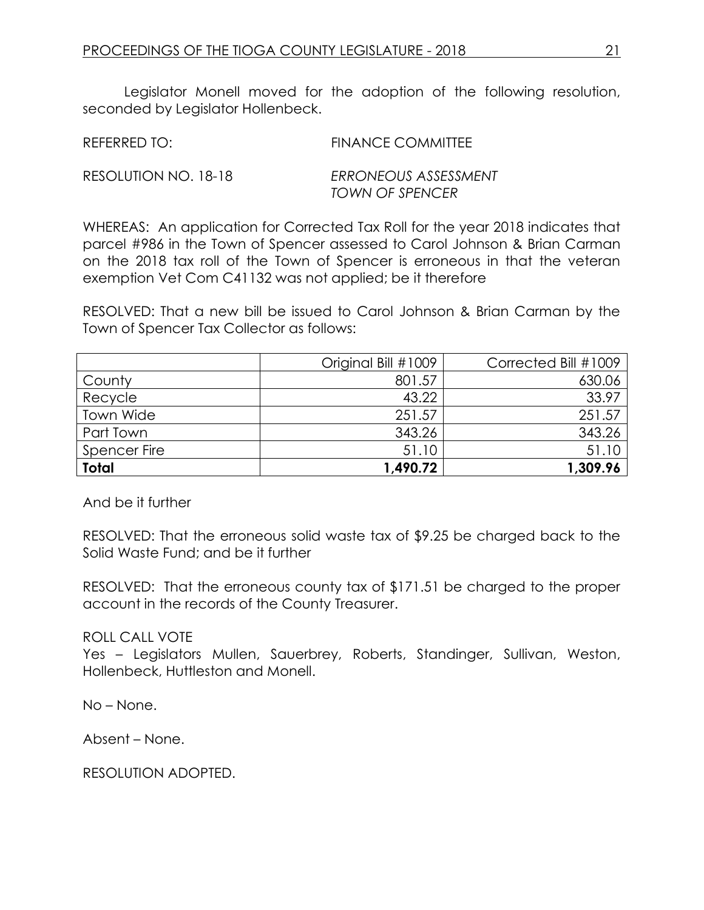Legislator Monell moved for the adoption of the following resolution, seconded by Legislator Hollenbeck.

REFERRED TO: FINANCE COMMITTEE

RESOLUTION NO. 18-18 *ERRONEOUS ASSESSMENT TOWN OF SPENCER*

WHEREAS: An application for Corrected Tax Roll for the year 2018 indicates that parcel #986 in the Town of Spencer assessed to Carol Johnson & Brian Carman on the 2018 tax roll of the Town of Spencer is erroneous in that the veteran exemption Vet Com C41132 was not applied; be it therefore

RESOLVED: That a new bill be issued to Carol Johnson & Brian Carman by the Town of Spencer Tax Collector as follows:

|                     | Original Bill #1009 | Corrected Bill #1009 |
|---------------------|---------------------|----------------------|
| County              | 801.57              | 630.06               |
| Recycle             | 43.22               | 33.97                |
| Town Wide           | 251.57              | 251.57               |
| Part Town           | 343.26              | 343.26               |
| <b>Spencer Fire</b> | 51.10               | 51.10                |
| <b>Total</b>        | 1,490.72            | 1,309.96             |

And be it further

RESOLVED: That the erroneous solid waste tax of \$9.25 be charged back to the Solid Waste Fund; and be it further

RESOLVED: That the erroneous county tax of \$171.51 be charged to the proper account in the records of the County Treasurer.

ROLL CALL VOTE

Yes – Legislators Mullen, Sauerbrey, Roberts, Standinger, Sullivan, Weston, Hollenbeck, Huttleston and Monell.

No – None.

Absent – None.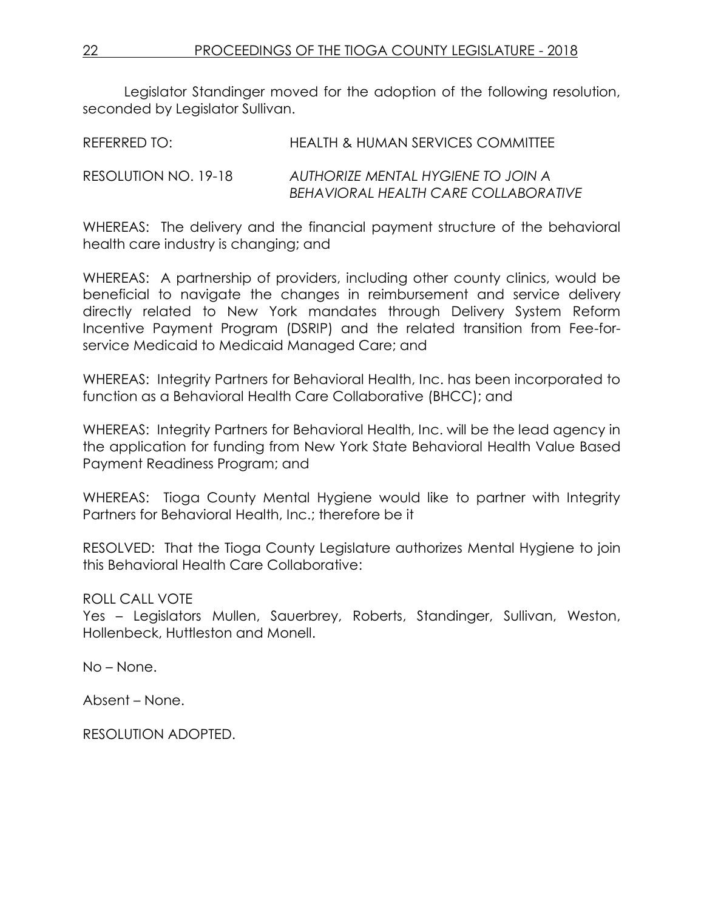Legislator Standinger moved for the adoption of the following resolution, seconded by Legislator Sullivan.

| REFERRED TO:         | HEALTH & HUMAN SERVICES COMMITTEE                                          |
|----------------------|----------------------------------------------------------------------------|
| RESOLUTION NO. 19-18 | AUTHORIZE MENTAL HYGIENE TO JOIN A<br>BEHAVIORAL HEALTH CARE COLLABORATIVE |

WHEREAS: The delivery and the financial payment structure of the behavioral health care industry is changing; and

WHEREAS: A partnership of providers, including other county clinics, would be beneficial to navigate the changes in reimbursement and service delivery directly related to New York mandates through Delivery System Reform Incentive Payment Program (DSRIP) and the related transition from Fee-forservice Medicaid to Medicaid Managed Care; and

WHEREAS: Integrity Partners for Behavioral Health, Inc. has been incorporated to function as a Behavioral Health Care Collaborative (BHCC); and

WHEREAS: Integrity Partners for Behavioral Health, Inc. will be the lead agency in the application for funding from New York State Behavioral Health Value Based Payment Readiness Program; and

WHEREAS: Tioga County Mental Hygiene would like to partner with Integrity Partners for Behavioral Health, Inc.; therefore be it

RESOLVED: That the Tioga County Legislature authorizes Mental Hygiene to join this Behavioral Health Care Collaborative:

## ROLL CALL VOTE

Yes – Legislators Mullen, Sauerbrey, Roberts, Standinger, Sullivan, Weston, Hollenbeck, Huttleston and Monell.

No – None.

Absent – None.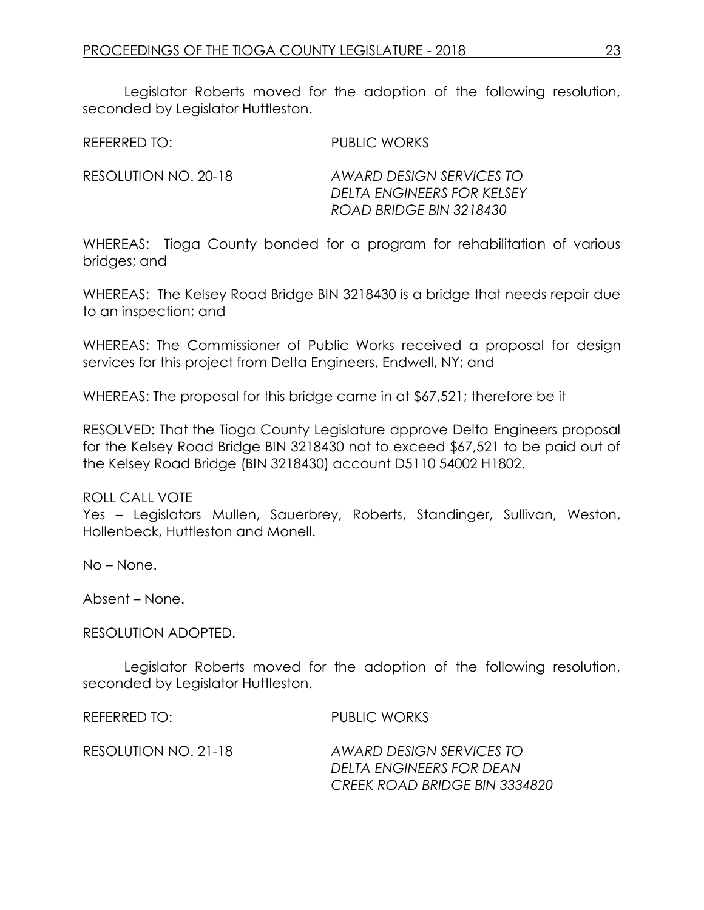Legislator Roberts moved for the adoption of the following resolution, seconded by Legislator Huttleston.

REFERRED TO: PUBLIC WORKS

RESOLUTION NO. 20-18 *AWARD DESIGN SERVICES TO DELTA ENGINEERS FOR KELSEY ROAD BRIDGE BIN 3218430*

WHEREAS: Tioga County bonded for a program for rehabilitation of various bridges; and

WHEREAS: The Kelsey Road Bridge BIN 3218430 is a bridge that needs repair due to an inspection; and

WHEREAS: The Commissioner of Public Works received a proposal for design services for this project from Delta Engineers, Endwell, NY; and

WHEREAS: The proposal for this bridge came in at \$67,521; therefore be it

RESOLVED: That the Tioga County Legislature approve Delta Engineers proposal for the Kelsey Road Bridge BIN 3218430 not to exceed \$67,521 to be paid out of the Kelsey Road Bridge (BIN 3218430) account D5110 54002 H1802.

#### ROLL CALL VOTE

Yes – Legislators Mullen, Sauerbrey, Roberts, Standinger, Sullivan, Weston, Hollenbeck, Huttleston and Monell.

No – None.

Absent – None.

RESOLUTION ADOPTED.

Legislator Roberts moved for the adoption of the following resolution, seconded by Legislator Huttleston.

REFERRED TO: PUBLIC WORKS

RESOLUTION NO. 21-18 *AWARD DESIGN SERVICES TO DELTA ENGINEERS FOR DEAN CREEK ROAD BRIDGE BIN 3334820*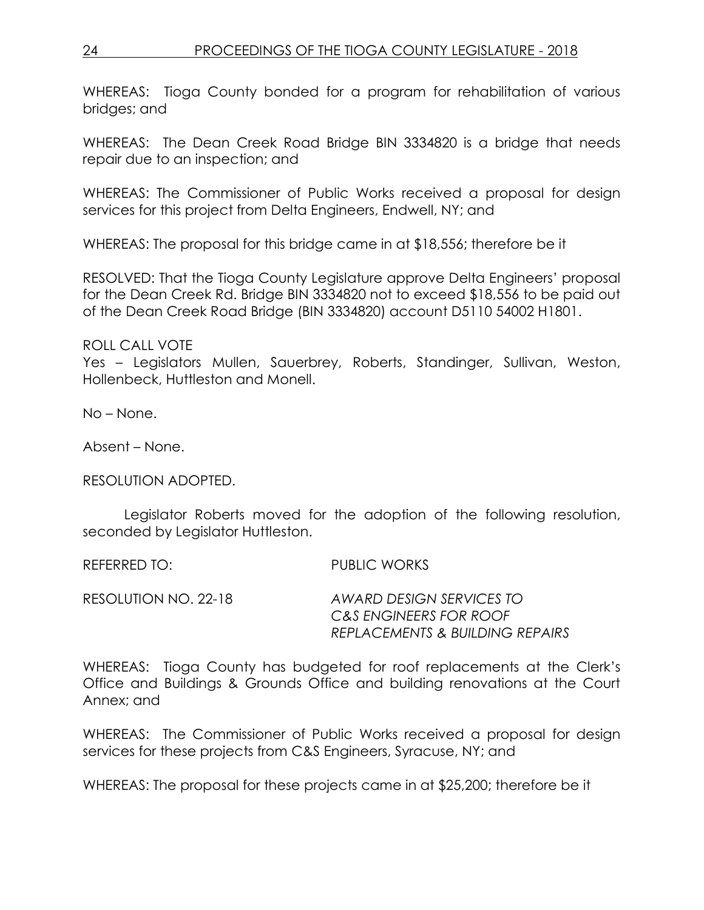WHEREAS: Tioga County bonded for a program for rehabilitation of various bridges; and

WHEREAS: The Dean Creek Road Bridge BIN 3334820 is a bridge that needs repair due to an inspection; and

WHEREAS: The Commissioner of Public Works received a proposal for design services for this project from Delta Engineers, Endwell, NY; and

WHEREAS: The proposal for this bridge came in at \$18,556; therefore be it

RESOLVED: That the Tioga County Legislature approve Delta Engineers' proposal for the Dean Creek Rd. Bridge BIN 3334820 not to exceed \$18,556 to be paid out of the Dean Creek Road Bridge (BIN 3334820) account D5110 54002 H1801.

ROLL CALL VOTE

Yes – Legislators Mullen, Sauerbrey, Roberts, Standinger, Sullivan, Weston, Hollenbeck, Huttleston and Monell.

No – None.

Absent – None.

RESOLUTION ADOPTED.

Legislator Roberts moved for the adoption of the following resolution, seconded by Legislator Huttleston.

REFERRED TO: PUBLIC WORKS

| RESOLUTION NO. 22-18 | AWARD DESIGN SERVICES TO        |
|----------------------|---------------------------------|
|                      | C&S ENGINEERS FOR ROOF          |
|                      | REPLACEMENTS & BUILDING REPAIRS |

WHEREAS: Tioga County has budgeted for roof replacements at the Clerk's Office and Buildings & Grounds Office and building renovations at the Court Annex; and

WHEREAS: The Commissioner of Public Works received a proposal for design services for these projects from C&S Engineers, Syracuse, NY; and

WHEREAS: The proposal for these projects came in at \$25,200; therefore be it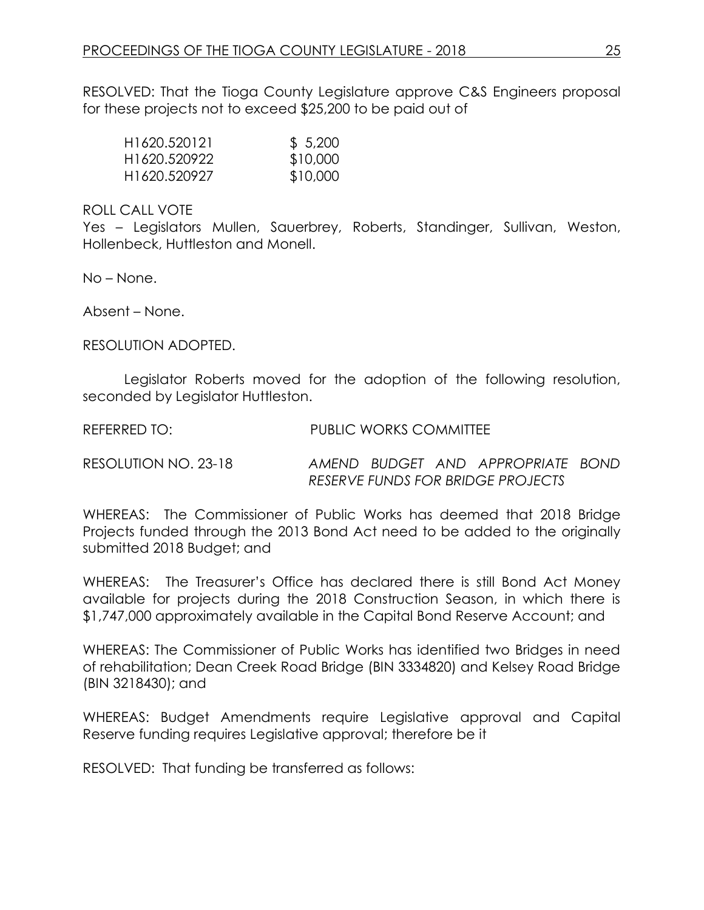RESOLVED: That the Tioga County Legislature approve C&S Engineers proposal for these projects not to exceed \$25,200 to be paid out of

| H <sub>1620</sub> .520121 | \$5,200  |
|---------------------------|----------|
| H1620.520922              | \$10,000 |
| H <sub>1620</sub> .520927 | \$10,000 |

#### ROLL CALL VOTE

Yes – Legislators Mullen, Sauerbrey, Roberts, Standinger, Sullivan, Weston, Hollenbeck, Huttleston and Monell.

No – None.

Absent – None.

RESOLUTION ADOPTED.

Legislator Roberts moved for the adoption of the following resolution, seconded by Legislator Huttleston.

REFERRED TO: PUBLIC WORKS COMMITTEE

RESOLUTION NO. 23-18 *AMEND BUDGET AND APPROPRIATE BOND RESERVE FUNDS FOR BRIDGE PROJECTS*

WHEREAS: The Commissioner of Public Works has deemed that 2018 Bridge Projects funded through the 2013 Bond Act need to be added to the originally submitted 2018 Budget; and

WHEREAS: The Treasurer's Office has declared there is still Bond Act Money available for projects during the 2018 Construction Season, in which there is \$1,747,000 approximately available in the Capital Bond Reserve Account; and

WHEREAS: The Commissioner of Public Works has identified two Bridges in need of rehabilitation; Dean Creek Road Bridge (BIN 3334820) and Kelsey Road Bridge (BIN 3218430); and

WHEREAS: Budget Amendments require Legislative approval and Capital Reserve funding requires Legislative approval; therefore be it

RESOLVED: That funding be transferred as follows: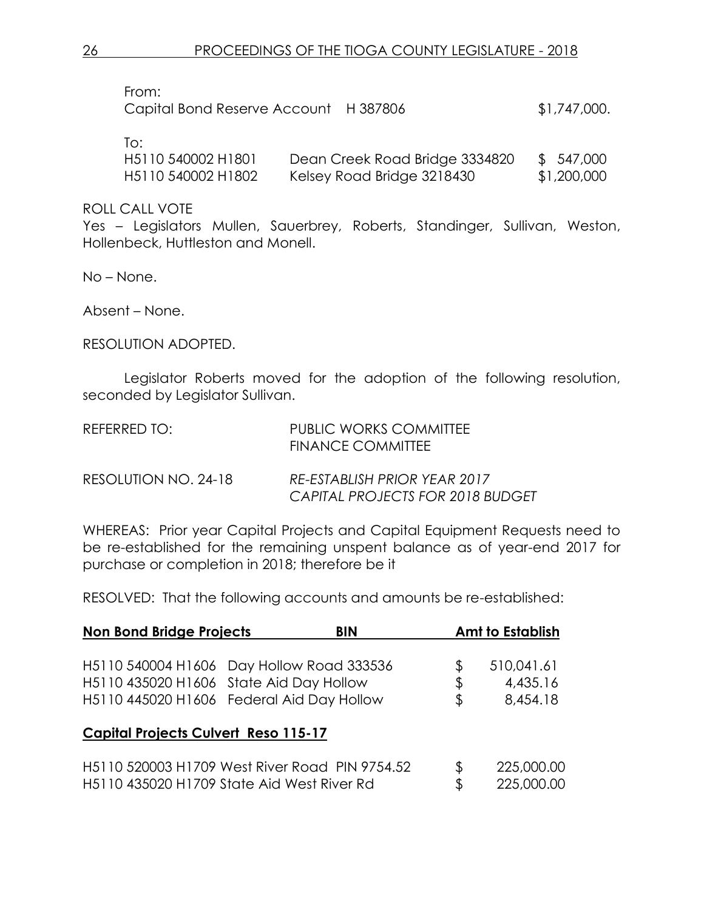| From:                                 |              |
|---------------------------------------|--------------|
| Capital Bond Reserve Account H 387806 | \$1,747,000. |

To:

| H5110 540002 H1801 | Dean Creek Road Bridge 3334820 | \$ 547,000  |
|--------------------|--------------------------------|-------------|
| H5110 540002 H1802 | Kelsey Road Bridge 3218430     | \$1,200,000 |

ROLL CALL VOTE

Yes – Legislators Mullen, Sauerbrey, Roberts, Standinger, Sullivan, Weston, Hollenbeck, Huttleston and Monell.

No – None.

Absent – None.

RESOLUTION ADOPTED.

Legislator Roberts moved for the adoption of the following resolution, seconded by Legislator Sullivan.

| REFERRED TO:         | PUBLIC WORKS COMMITTEE<br><b>FINANCE COMMITTEE</b>               |
|----------------------|------------------------------------------------------------------|
| RESOLUTION NO. 24-18 | RE-ESTABLISH PRIOR YEAR 2017<br>CAPITAL PROJECTS FOR 2018 BUDGET |

WHEREAS: Prior year Capital Projects and Capital Equipment Requests need to be re-established for the remaining unspent balance as of year-end 2017 for purchase or completion in 2018; therefore be it

RESOLVED: That the following accounts and amounts be re-established:

| <b>Non Bond Bridge Projects</b>             | <b>BIN</b>                                     | <b>Amt to Establish</b> |
|---------------------------------------------|------------------------------------------------|-------------------------|
|                                             | H5110 540004 H1606 Day Hollow Road 333536      | \$<br>510,041.61        |
|                                             | H5110 435020 H1606 State Aid Day Hollow        | \$<br>4,435.16          |
|                                             | H5110 445020 H1606 Federal Aid Day Hollow      | \$<br>8,454.18          |
| <b>Capital Projects Culvert Reso 115-17</b> |                                                |                         |
|                                             | H5110 520003 H1709 West River Road PIN 9754.52 | \$<br>225,000.00        |
|                                             | H5110 435020 H1709 State Aid West River Rd     | \$<br>225,000.00        |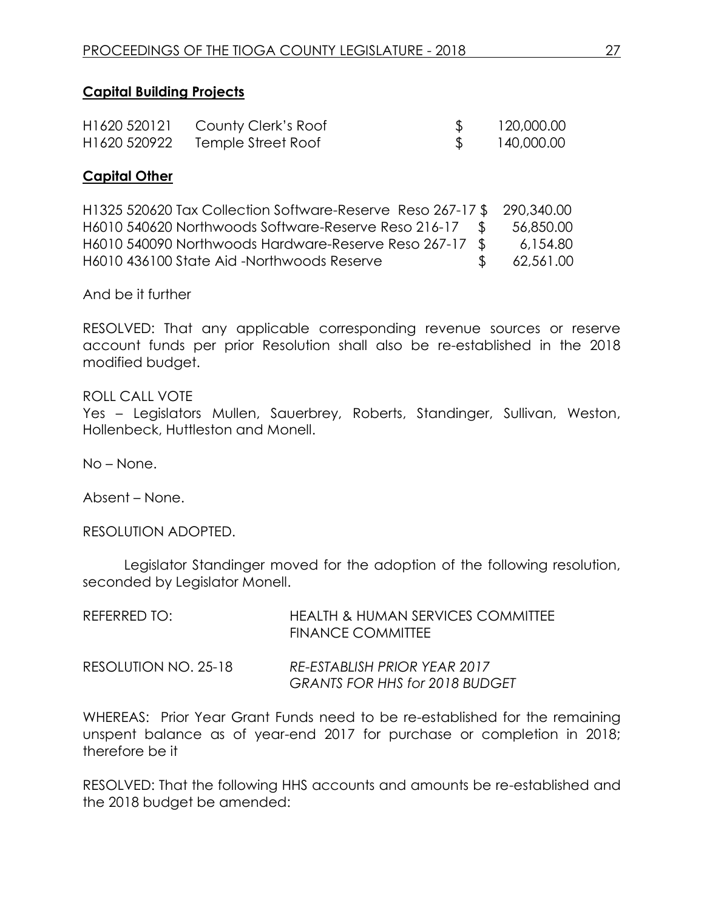## **Capital Building Projects**

| H1620 520121 | County Clerk's Roof | 120,000.00 |
|--------------|---------------------|------------|
| H1620 520922 | Temple Street Roof  | 140,000.00 |

#### **Capital Other**

H1325 520620 Tax Collection Software-Reserve Reso 267-17 \$ 290,340.00 H6010 540620 Northwoods Software-Reserve Reso 216-17 \$ 56,850.00 H6010 540090 Northwoods Hardware-Reserve Reso 267-17 \$ 6,154.80 H6010 436100 State Aid -Northwoods Reserve  $$62,561.00$ 

And be it further

RESOLVED: That any applicable corresponding revenue sources or reserve account funds per prior Resolution shall also be re-established in the 2018 modified budget.

ROLL CALL VOTE Yes – Legislators Mullen, Sauerbrey, Roberts, Standinger, Sullivan, Weston, Hollenbeck, Huttleston and Monell.

No – None.

Absent – None.

RESOLUTION ADOPTED.

Legislator Standinger moved for the adoption of the following resolution, seconded by Legislator Monell.

| REFERRED TO:         | <b>HEALTH &amp; HUMAN SERVICES COMMITTEE</b><br><b>FINANCE COMMITTEE</b> |
|----------------------|--------------------------------------------------------------------------|
| RESOLUTION NO. 25-18 | RE-ESTABLISH PRIOR YEAR 2017<br><b>GRANTS FOR HHS for 2018 BUDGET</b>    |

WHEREAS: Prior Year Grant Funds need to be re-established for the remaining unspent balance as of year-end 2017 for purchase or completion in 2018; therefore be it

RESOLVED: That the following HHS accounts and amounts be re-established and the 2018 budget be amended: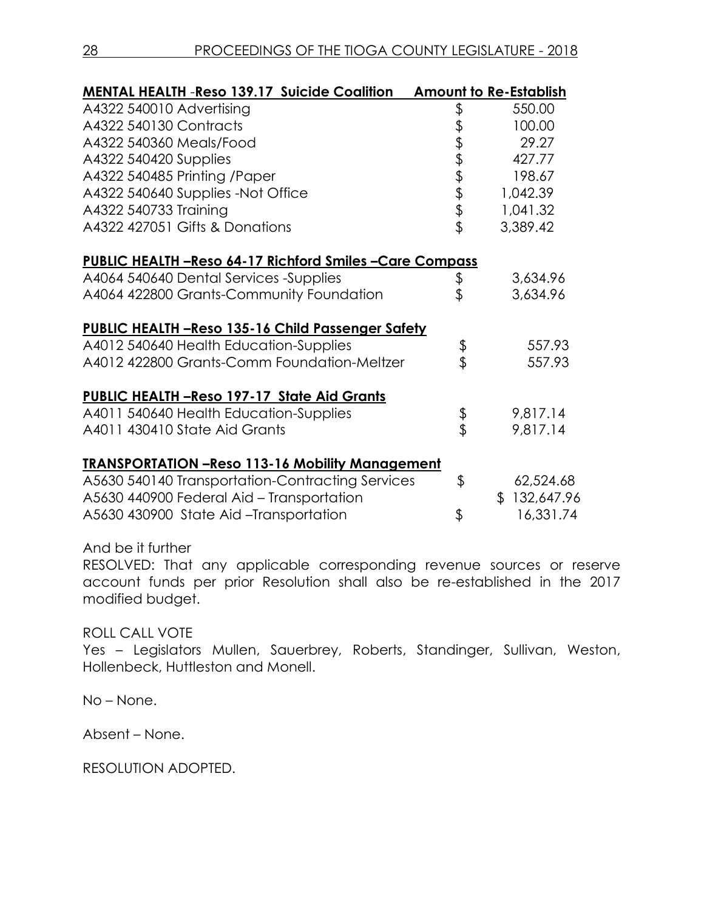| <b>MENTAL HEALTH -Reso 139.17 Suicide Coalition</b>            |        | <b>Amount to Re-Establish</b> |
|----------------------------------------------------------------|--------|-------------------------------|
| A4322 540010 Advertising                                       | \$     | 550.00                        |
| A4322 540130 Contracts                                         |        | 100.00                        |
| A4322 540360 Meals/Food                                        |        | 29.27                         |
| A4322 540420 Supplies                                          |        | 427.77                        |
| A4322 540485 Printing /Paper                                   |        | 198.67                        |
| A4322 540640 Supplies -Not Office                              | もわまままま | 1,042.39                      |
| A4322 540733 Training                                          |        | 1,041.32                      |
| A4322 427051 Gifts & Donations                                 |        | 3,389.42                      |
| <b>PUBLIC HEALTH -Reso 64-17 Richford Smiles -Care Compass</b> |        |                               |
| A4064 540640 Dental Services -Supplies                         | \$     | 3,634.96                      |
| A4064 422800 Grants-Community Foundation                       | \$     | 3,634.96                      |
| <b>PUBLIC HEALTH -Reso 135-16 Child Passenger Safety</b>       |        |                               |
| A4012 540640 Health Education-Supplies                         | \$     | 557.93                        |
| A4012 422800 Grants-Comm Foundation-Meltzer                    | \$     | 557.93                        |
| <b>PUBLIC HEALTH -Reso 197-17 State Aid Grants</b>             |        |                               |
| A4011 540640 Health Education-Supplies                         | \$     | 9,817.14                      |
| A4011 430410 State Aid Grants                                  | \$     | 9,817.14                      |
| <b>TRANSPORTATION - Reso 113-16 Mobility Management</b>        |        |                               |
| A5630 540140 Transportation-Contracting Services               | \$     | 62,524.68                     |
| A5630 440900 Federal Aid - Transportation                      |        | \$132,647.96                  |
| A5630 430900 State Aid -Transportation                         | \$     | 16,331.74                     |

And be it further

RESOLVED: That any applicable corresponding revenue sources or reserve account funds per prior Resolution shall also be re-established in the 2017 modified budget.

#### ROLL CALL VOTE

Yes - Legislators Mullen, Sauerbrey, Roberts, Standinger, Sullivan, Weston, Hollenbeck, Huttleston and Monell.

No – None.

Absent – None.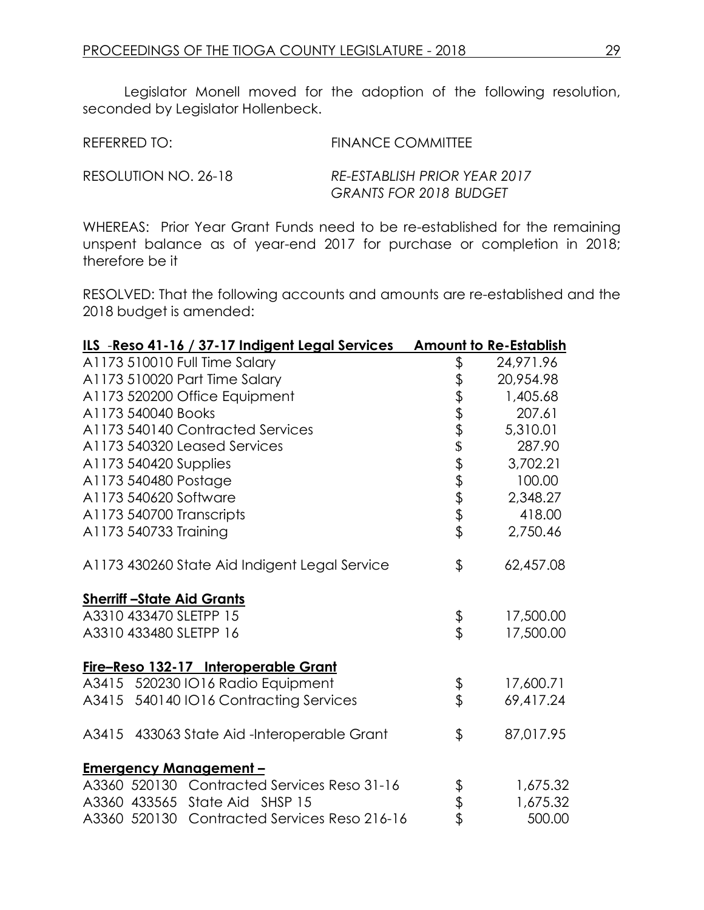Legislator Monell moved for the adoption of the following resolution, seconded by Legislator Hollenbeck.

REFERRED TO: FINANCE COMMITTEE

RESOLUTION NO. 26-18 *RE-ESTABLISH PRIOR YEAR 2017 GRANTS FOR 2018 BUDGET*

WHEREAS: Prior Year Grant Funds need to be re-established for the remaining unspent balance as of year-end 2017 for purchase or completion in 2018; therefore be it

RESOLVED: That the following accounts and amounts are re-established and the 2018 budget is amended:

| ILS -Reso 41-16 / 37-17 Indigent Legal Services |                                | <b>Amount to Re-Establish</b> |
|-------------------------------------------------|--------------------------------|-------------------------------|
| A1173 510010 Full Time Salary                   | \$                             | 24,971.96                     |
| A1173 510020 Part Time Salary                   |                                | 20,954.98                     |
| A1173 520200 Office Equipment                   |                                | 1,405.68                      |
| A1173 540040 Books                              |                                | 207.61                        |
| A1173 540140 Contracted Services                |                                | 5,310.01                      |
| A1173 540320 Leased Services                    |                                | 287.90                        |
| A1173 540420 Supplies                           | \$\$\$\$\$\$\$\$\$\$\$\$\$\$\$ | 3,702.21                      |
| A1173 540480 Postage                            |                                | 100.00                        |
| A1173 540620 Software                           |                                | 2,348.27                      |
| A1173 540700 Transcripts                        |                                | 418.00                        |
| A1173 540733 Training                           |                                | 2,750.46                      |
| A1173 430260 State Aid Indigent Legal Service   | \$                             | 62,457.08                     |
| <b>Sherriff-State Aid Grants</b>                |                                |                               |
| A3310 433470 SLETPP 15                          | \$<br>\$                       | 17,500.00                     |
| A3310 433480 SLETPP 16                          |                                | 17,500.00                     |
| Fire-Reso 132-17 Interoperable Grant            |                                |                               |
| A3415 520230 IO16 Radio Equipment               |                                | 17,600.71                     |
| A3415 540140 IO16 Contracting Services          | \$<br>\$                       | 69,417.24                     |
| A3415 433063 State Aid-Interoperable Grant      | \$                             | 87,017.95                     |
| <u>Emergency Management-</u>                    |                                |                               |
| A3360 520130 Contracted Services Reso 31-16     |                                | 1,675.32                      |
| A3360 433565 State Aid SHSP 15                  | \$<br>\$                       | 1,675.32                      |
| A3360 520130 Contracted Services Reso 216-16    |                                | 500.00                        |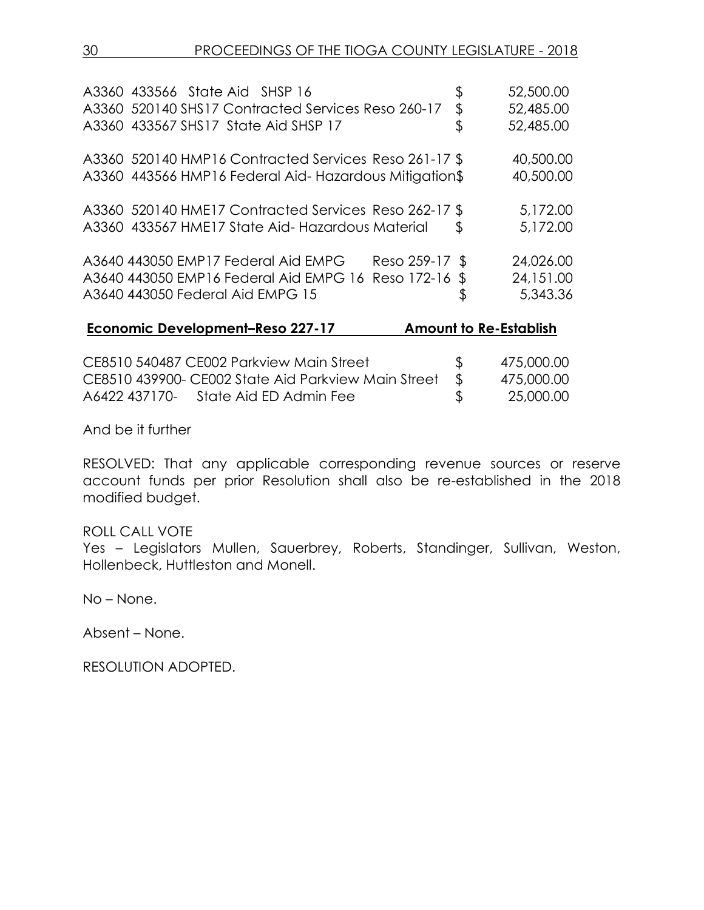| A3360 433566 State Aid SHSP 16<br>A3360 520140 SHS17 Contracted Services Reso 260-17<br>A3360 433567 SHS17 State Aid SHSP 17                       | \$<br>\$ | 52,500.00<br>52,485.00<br>52,485.00 |
|----------------------------------------------------------------------------------------------------------------------------------------------------|----------|-------------------------------------|
| A3360 520140 HMP16 Contracted Services Reso 261-17 \$<br>A3360 443566 HMP16 Federal Aid-Hazardous Mitigation\$                                     |          | 40,500.00<br>40,500.00              |
| A3360 520140 HME17 Contracted Services Reso 262-17 \$<br>A3360 433567 HME17 State Aid-Hazardous Material                                           | \$       | 5,172.00<br>5,172.00                |
| A3640 443050 EMP17 Federal Aid EMPG<br>Reso 259-17 \$<br>A3640 443050 EMP16 Federal Aid EMPG 16 Reso 172-16 \$<br>A3640 443050 Federal Aid EMPG 15 | ⊅        | 24,026.00<br>24,151.00<br>5,343.36  |

#### **Economic Development–Reso 227-17 Amount to Re-Establish**

| CE8510 540487 CE002 Parkview Main Street               |              | 475,000.00 |
|--------------------------------------------------------|--------------|------------|
| CE8510 439900- CE002 State Aid Parkview Main Street \$ |              | 475,000.00 |
| A6422 437170- State Aid ED Admin Fee                   | $\mathbb{S}$ | 25,000.00  |

And be it further

RESOLVED: That any applicable corresponding revenue sources or reserve account funds per prior Resolution shall also be re-established in the 2018 modified budget.

#### ROLL CALL VOTE

Yes – Legislators Mullen, Sauerbrey, Roberts, Standinger, Sullivan, Weston, Hollenbeck, Huttleston and Monell.

No – None.

Absent – None.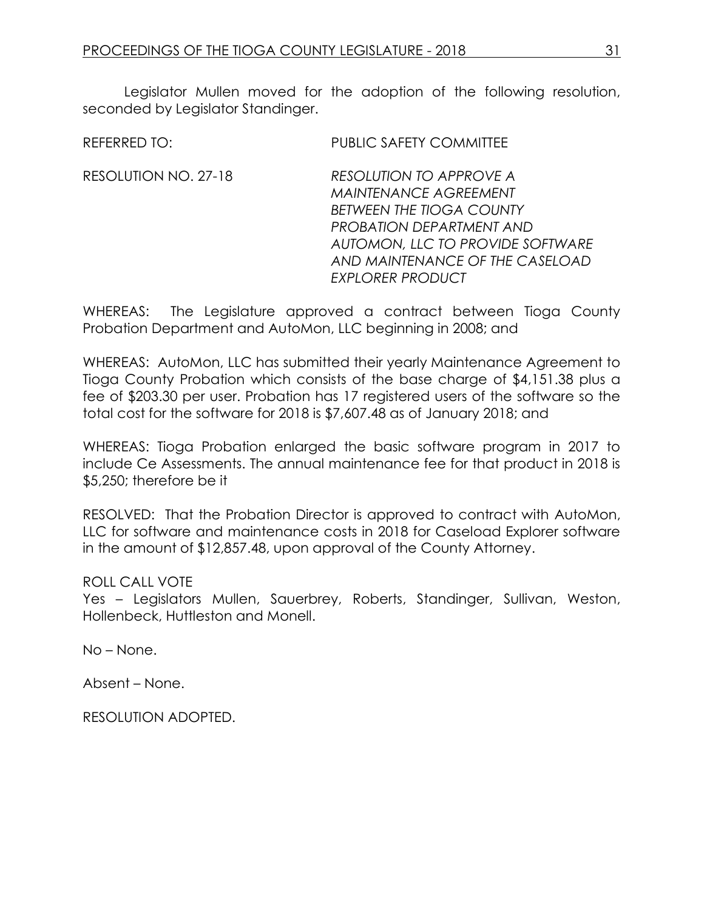Legislator Mullen moved for the adoption of the following resolution, seconded by Legislator Standinger.

| REFERRED TO:         | PUBLIC SAFETY COMMITTEE                                                                                                                                                                                                                |
|----------------------|----------------------------------------------------------------------------------------------------------------------------------------------------------------------------------------------------------------------------------------|
| RESOLUTION NO. 27-18 | <b>RESOLUTION TO APPROVE A</b><br><b>MAINTENANCE AGREEMENT</b><br><b>BETWEEN THE TIOGA COUNTY</b><br><b>PROBATION DEPARTMENT AND</b><br>AUTOMON, LLC TO PROVIDE SOFTWARE<br>AND MAINTENANCE OF THE CASELOAD<br><b>EXPLORER PRODUCT</b> |

WHEREAS: The Legislature approved a contract between Tioga County Probation Department and AutoMon, LLC beginning in 2008; and

WHEREAS: AutoMon, LLC has submitted their yearly Maintenance Agreement to Tioga County Probation which consists of the base charge of \$4,151.38 plus a fee of \$203.30 per user. Probation has 17 registered users of the software so the total cost for the software for 2018 is \$7,607.48 as of January 2018; and

WHEREAS: Tioga Probation enlarged the basic software program in 2017 to include Ce Assessments. The annual maintenance fee for that product in 2018 is \$5,250; therefore be it

RESOLVED: That the Probation Director is approved to contract with AutoMon, LLC for software and maintenance costs in 2018 for Caseload Explorer software in the amount of \$12,857.48, upon approval of the County Attorney.

#### ROLL CALL VOTE

Yes – Legislators Mullen, Sauerbrey, Roberts, Standinger, Sullivan, Weston, Hollenbeck, Huttleston and Monell.

No – None.

Absent – None.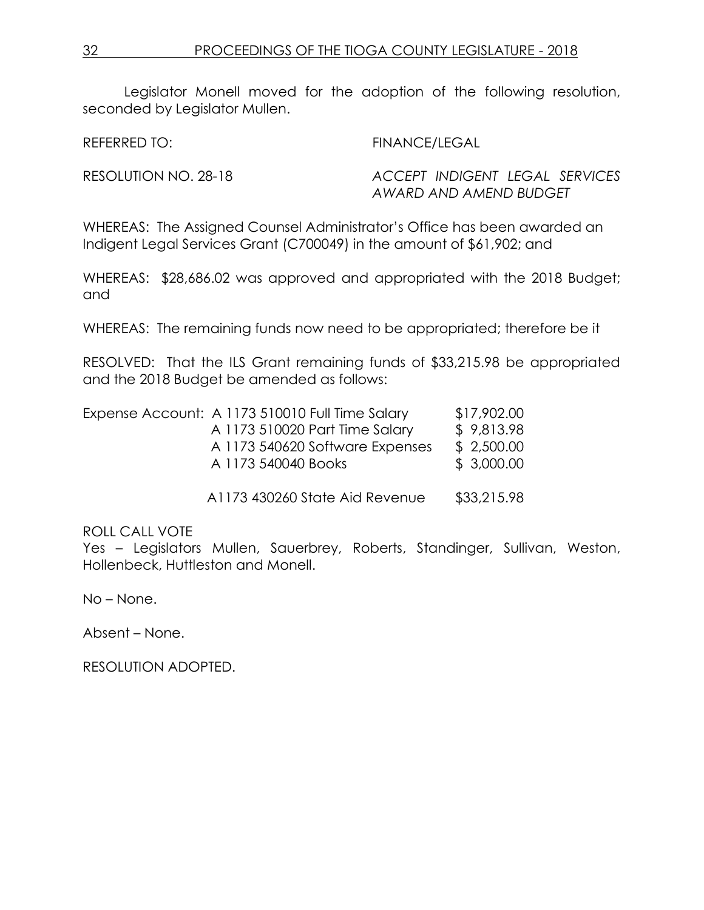Legislator Monell moved for the adoption of the following resolution, seconded by Legislator Mullen.

REFERRED TO: FINANCE/LEGAL

RESOLUTION NO. 28-18 *ACCEPT INDIGENT LEGAL SERVICES AWARD AND AMEND BUDGET*

WHEREAS: The Assigned Counsel Administrator's Office has been awarded an Indigent Legal Services Grant (C700049) in the amount of \$61,902; and

WHEREAS: \$28,686.02 was approved and appropriated with the 2018 Budget; and

WHEREAS: The remaining funds now need to be appropriated; therefore be it

RESOLVED: That the ILS Grant remaining funds of \$33,215.98 be appropriated and the 2018 Budget be amended as follows:

| Expense Account: A 1173 510010 Full Time Salary | \$17,902.00 |
|-------------------------------------------------|-------------|
| A 1173 510020 Part Time Salary                  | \$9,813.98  |
| A 1173 540620 Software Expenses                 | \$2,500.00  |
| A 1173 540040 Books                             | \$3,000.00  |
|                                                 |             |

A1173 430260 State Aid Revenue \$33,215.98

ROLL CALL VOTE

Yes – Legislators Mullen, Sauerbrey, Roberts, Standinger, Sullivan, Weston, Hollenbeck, Huttleston and Monell.

No – None.

Absent – None.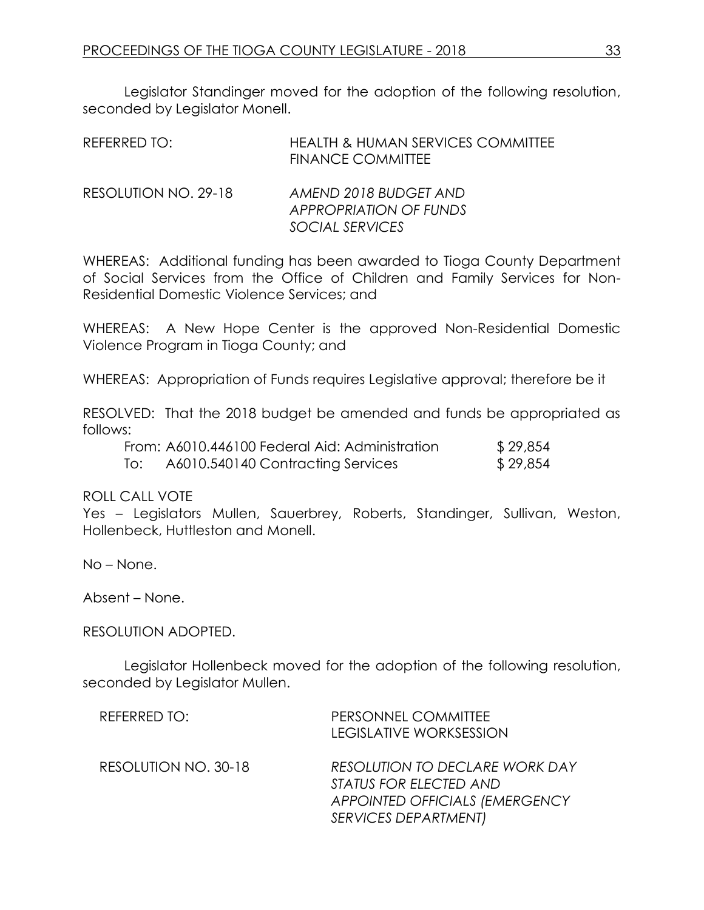Legislator Standinger moved for the adoption of the following resolution, seconded by Legislator Monell.

| REFERRED TO:         | <b>HEALTH &amp; HUMAN SERVICES COMMITTEE</b><br><b>FINANCE COMMITTEE</b> |
|----------------------|--------------------------------------------------------------------------|
| RESOLUTION NO. 29-18 | AMEND 2018 BUDGET AND<br>APPROPRIATION OF FUNDS                          |
|                      | SOCIAL SERVICES                                                          |

WHEREAS: Additional funding has been awarded to Tioga County Department of Social Services from the Office of Children and Family Services for Non-Residential Domestic Violence Services; and

WHEREAS: A New Hope Center is the approved Non-Residential Domestic Violence Program in Tioga County; and

WHEREAS: Appropriation of Funds requires Legislative approval; therefore be it

RESOLVED: That the 2018 budget be amended and funds be appropriated as follows:

|     | From: A6010.446100 Federal Aid: Administration | \$29,854 |
|-----|------------------------------------------------|----------|
| To: | A6010.540140 Contracting Services              | \$29,854 |

ROLL CALL VOTE

Yes – Legislators Mullen, Sauerbrey, Roberts, Standinger, Sullivan, Weston, Hollenbeck, Huttleston and Monell.

No – None.

Absent – None.

#### RESOLUTION ADOPTED.

Legislator Hollenbeck moved for the adoption of the following resolution, seconded by Legislator Mullen.

| REFERRED TO:         | PERSONNEL COMMITTEE<br><b>LEGISLATIVE WORKSESSION</b>                                                                                   |
|----------------------|-----------------------------------------------------------------------------------------------------------------------------------------|
| RESOLUTION NO. 30-18 | <b>RESOLUTION TO DECLARE WORK DAY</b><br>STATUS FOR ELECTED AND<br><b>APPOINTED OFFICIALS (EMERGENCY</b><br><b>SERVICES DEPARTMENT)</b> |